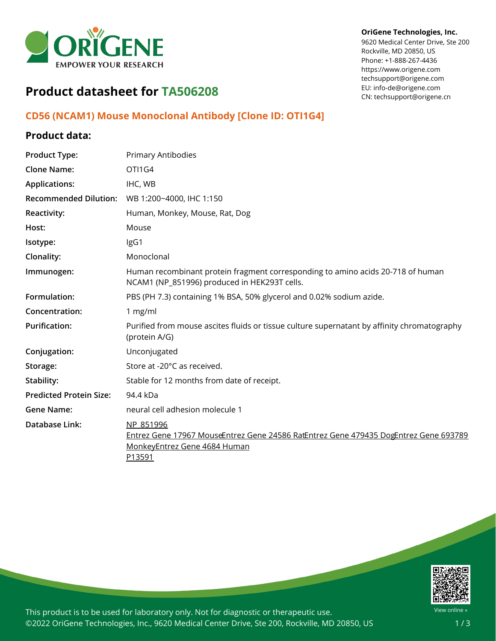

#### **OriGene Technologies, Inc.**

9620 Medical Center Drive, Ste 200 Rockville, MD 20850, US Phone: +1-888-267-4436 https://www.origene.com techsupport@origene.com EU: info-de@origene.com CN: techsupport@origene.cn

# **Product datasheet for TA506208**

### **CD56 (NCAM1) Mouse Monoclonal Antibody [Clone ID: OTI1G4]**

### **Product data:**

| <b>Product Type:</b>           | <b>Primary Antibodies</b>                                                                                                                   |
|--------------------------------|---------------------------------------------------------------------------------------------------------------------------------------------|
| <b>Clone Name:</b>             | OTI1G4                                                                                                                                      |
| <b>Applications:</b>           | IHC, WB                                                                                                                                     |
| <b>Recommended Dilution:</b>   | WB 1:200~4000, IHC 1:150                                                                                                                    |
| Reactivity:                    | Human, Monkey, Mouse, Rat, Dog                                                                                                              |
| Host:                          | Mouse                                                                                                                                       |
| Isotype:                       | IgG1                                                                                                                                        |
| Clonality:                     | Monoclonal                                                                                                                                  |
| Immunogen:                     | Human recombinant protein fragment corresponding to amino acids 20-718 of human<br>NCAM1 (NP_851996) produced in HEK293T cells.             |
| Formulation:                   | PBS (PH 7.3) containing 1% BSA, 50% glycerol and 0.02% sodium azide.                                                                        |
| Concentration:                 | 1 mg/ml                                                                                                                                     |
| <b>Purification:</b>           | Purified from mouse ascites fluids or tissue culture supernatant by affinity chromatography<br>(protein A/G)                                |
| Conjugation:                   | Unconjugated                                                                                                                                |
| Storage:                       | Store at -20°C as received.                                                                                                                 |
| Stability:                     | Stable for 12 months from date of receipt.                                                                                                  |
| <b>Predicted Protein Size:</b> | 94.4 kDa                                                                                                                                    |
| <b>Gene Name:</b>              | neural cell adhesion molecule 1                                                                                                             |
| Database Link:                 | NP 851996<br>Entrez Gene 17967 MouseEntrez Gene 24586 RatEntrez Gene 479435 DogEntrez Gene 693789<br>MonkeyEntrez Gene 4684 Human<br>P13591 |



This product is to be used for laboratory only. Not for diagnostic or therapeutic use. ©2022 OriGene Technologies, Inc., 9620 Medical Center Drive, Ste 200, Rockville, MD 20850, US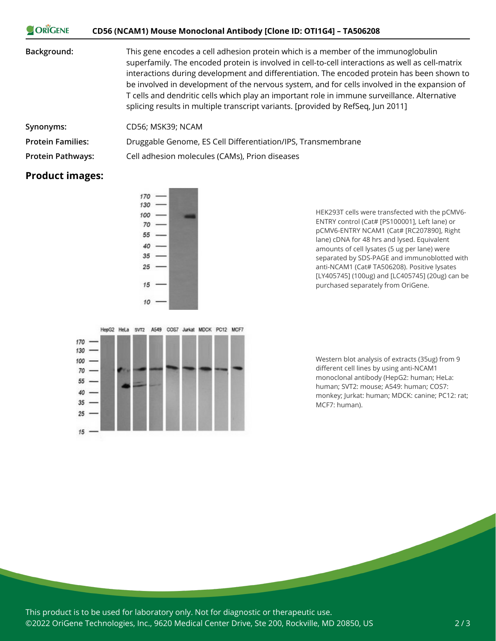| <b>ORIGENE</b>           | CD56 (NCAM1) Mouse Monoclonal Antibody [Clone ID: OTI1G4] - TA506208                                                                                                                                                                                                                                                                                                                                                                                                                                                                                                    |
|--------------------------|-------------------------------------------------------------------------------------------------------------------------------------------------------------------------------------------------------------------------------------------------------------------------------------------------------------------------------------------------------------------------------------------------------------------------------------------------------------------------------------------------------------------------------------------------------------------------|
| Background:              | This gene encodes a cell adhesion protein which is a member of the immunoglobulin<br>superfamily. The encoded protein is involved in cell-to-cell interactions as well as cell-matrix<br>interactions during development and differentiation. The encoded protein has been shown to<br>be involved in development of the nervous system, and for cells involved in the expansion of<br>T cells and dendritic cells which play an important role in immune surveillance. Alternative<br>splicing results in multiple transcript variants. [provided by RefSeq, Jun 2011] |
| Synonyms:                | CD56; MSK39; NCAM                                                                                                                                                                                                                                                                                                                                                                                                                                                                                                                                                       |
| <b>Protein Families:</b> | Druggable Genome, ES Cell Differentiation/IPS, Transmembrane                                                                                                                                                                                                                                                                                                                                                                                                                                                                                                            |
| <b>Protein Pathways:</b> | Cell adhesion molecules (CAMs), Prion diseases                                                                                                                                                                                                                                                                                                                                                                                                                                                                                                                          |

## **Product images:**

 $\sim$   $\sqrt{2}$ 



ENTRY control (Cat# [PS100001], Left lane) or pCMV6-ENTRY NCAM1 (Cat# [RC207890], Right lane) cDNA for 48 hrs and lysed. Equivalent amounts of cell lysates (5 ug per lane) were separated by SDS-PAGE and immunoblotted with anti-NCAM1 (Cat# TA506208). Positive lysates [LY405745] (100ug) and [LC405745] (20ug) can be purchased separately from OriGene.

HEK293T cells were transfected with the pCMV6-

HepG2 HeLa SVT2 A549 COS7 Jurkat MDCK PC12 MCF7 170 130  $100 70 -$ 55 -40 35  $25$  $15$ 

Western blot analysis of extracts (35ug) from 9 different cell lines by using anti-NCAM1 monoclonal antibody (HepG2: human; HeLa: human; SVT2: mouse; A549: human; COS7: monkey; Jurkat: human; MDCK: canine; PC12: rat; MCF7: human).

This product is to be used for laboratory only. Not for diagnostic or therapeutic use. ©2022 OriGene Technologies, Inc., 9620 Medical Center Drive, Ste 200, Rockville, MD 20850, US